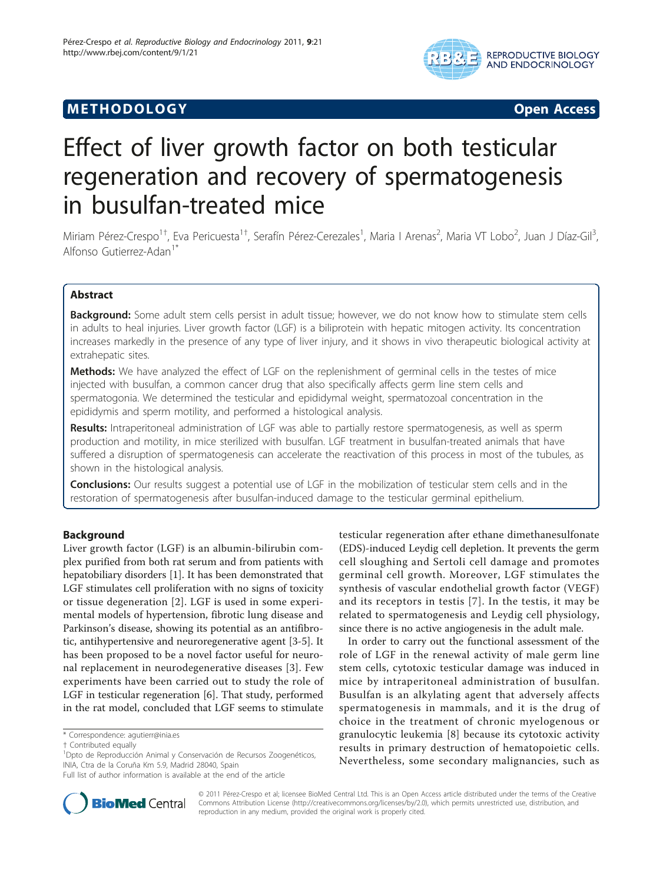## **METHODOLOGY CONSUMING ACCESS**



# Effect of liver growth factor on both testicular regeneration and recovery of spermatogenesis in busulfan-treated mice

Miriam Pérez-Crespo<sup>1†</sup>, Eva Pericuesta<sup>1†</sup>, Serafín Pérez-Cerezales<sup>1</sup>, Maria I Arenas<sup>2</sup>, Maria VT Lobo<sup>2</sup>, Juan J Díaz-Gil<sup>3</sup> , Alfonso Gutierrez-Adan<sup>1\*</sup>

## Abstract

Background: Some adult stem cells persist in adult tissue; however, we do not know how to stimulate stem cells in adults to heal injuries. Liver growth factor (LGF) is a biliprotein with hepatic mitogen activity. Its concentration increases markedly in the presence of any type of liver injury, and it shows in vivo therapeutic biological activity at extrahepatic sites.

Methods: We have analyzed the effect of LGF on the replenishment of germinal cells in the testes of mice injected with busulfan, a common cancer drug that also specifically affects germ line stem cells and spermatogonia. We determined the testicular and epididymal weight, spermatozoal concentration in the epididymis and sperm motility, and performed a histological analysis.

Results: Intraperitoneal administration of LGF was able to partially restore spermatogenesis, as well as sperm production and motility, in mice sterilized with busulfan. LGF treatment in busulfan-treated animals that have suffered a disruption of spermatogenesis can accelerate the reactivation of this process in most of the tubules, as shown in the histological analysis.

**Conclusions:** Our results suggest a potential use of LGF in the mobilization of testicular stem cells and in the restoration of spermatogenesis after busulfan-induced damage to the testicular germinal epithelium.

## Background

Liver growth factor (LGF) is an albumin-bilirubin complex purified from both rat serum and from patients with hepatobiliary disorders [\[1](#page-4-0)]. It has been demonstrated that LGF stimulates cell proliferation with no signs of toxicity or tissue degeneration [[2](#page-4-0)]. LGF is used in some experimental models of hypertension, fibrotic lung disease and Parkinson's disease, showing its potential as an antifibrotic, antihypertensive and neuroregenerative agent [[3-5](#page-4-0)]. It has been proposed to be a novel factor useful for neuronal replacement in neurodegenerative diseases [[3](#page-4-0)]. Few experiments have been carried out to study the role of LGF in testicular regeneration [[6\]](#page-4-0). That study, performed in the rat model, concluded that LGF seems to stimulate

testicular regeneration after ethane dimethanesulfonate (EDS)-induced Leydig cell depletion. It prevents the germ cell sloughing and Sertoli cell damage and promotes germinal cell growth. Moreover, LGF stimulates the synthesis of vascular endothelial growth factor (VEGF) and its receptors in testis [[7\]](#page-4-0). In the testis, it may be related to spermatogenesis and Leydig cell physiology, since there is no active angiogenesis in the adult male.

In order to carry out the functional assessment of the role of LGF in the renewal activity of male germ line stem cells, cytotoxic testicular damage was induced in mice by intraperitoneal administration of busulfan. Busulfan is an alkylating agent that adversely affects spermatogenesis in mammals, and it is the drug of choice in the treatment of chronic myelogenous or granulocytic leukemia [[8\]](#page-4-0) because its cytotoxic activity results in primary destruction of hematopoietic cells. Nevertheless, some secondary malignancies, such as



© 2011 Pérez-Crespo et al; licensee BioMed Central Ltd. This is an Open Access article distributed under the terms of the Creative Commons Attribution License [\(http://creativecommons.org/licenses/by/2.0](http://creativecommons.org/licenses/by/2.0)), which permits unrestricted use, distribution, and reproduction in any medium, provided the original work is properly cited.

<sup>\*</sup> Correspondence: [agutierr@inia.es](mailto:agutierr@inia.es)

<sup>†</sup> Contributed equally <sup>1</sup>

<sup>&</sup>lt;sup>1</sup>Dpto de Reproducción Animal y Conservación de Recursos Zoogenéticos, INIA, Ctra de la Coruña Km 5.9, Madrid 28040, Spain

Full list of author information is available at the end of the article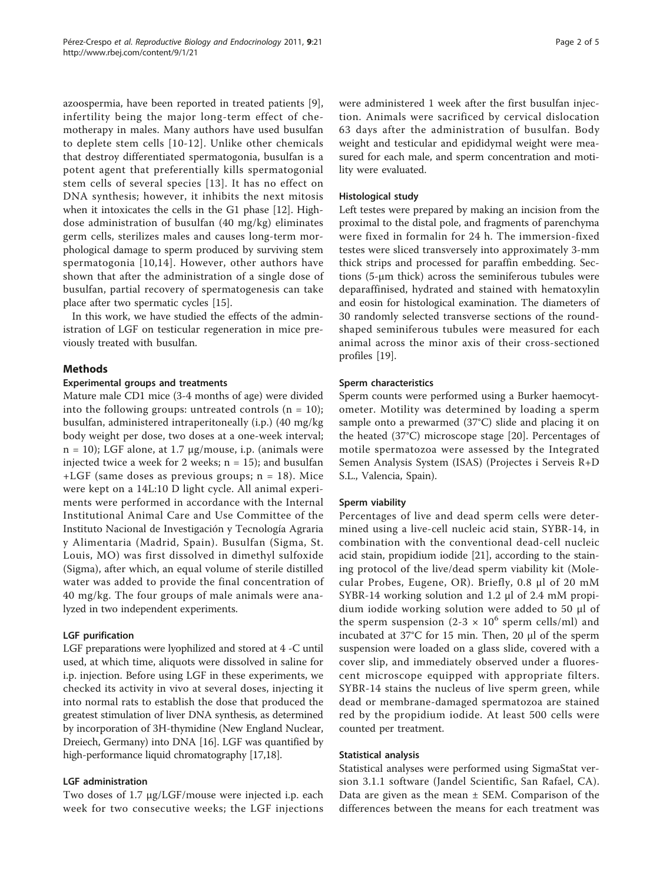azoospermia, have been reported in treated patients [\[9](#page-4-0)], infertility being the major long-term effect of chemotherapy in males. Many authors have used busulfan to deplete stem cells [[10](#page-4-0)-[12](#page-4-0)]. Unlike other chemicals that destroy differentiated spermatogonia, busulfan is a potent agent that preferentially kills spermatogonial stem cells of several species [[13\]](#page-4-0). It has no effect on DNA synthesis; however, it inhibits the next mitosis when it intoxicates the cells in the G1 phase [\[12](#page-4-0)]. Highdose administration of busulfan (40 mg/kg) eliminates germ cells, sterilizes males and causes long-term morphological damage to sperm produced by surviving stem spermatogonia [[10](#page-4-0),[14](#page-4-0)]. However, other authors have shown that after the administration of a single dose of busulfan, partial recovery of spermatogenesis can take place after two spermatic cycles [[15\]](#page-4-0).

In this work, we have studied the effects of the administration of LGF on testicular regeneration in mice previously treated with busulfan.

## Methods

#### Experimental groups and treatments

Mature male CD1 mice (3-4 months of age) were divided into the following groups: untreated controls  $(n = 10)$ ; busulfan, administered intraperitoneally (i.p.) (40 mg/kg body weight per dose, two doses at a one-week interval;  $n = 10$ ); LGF alone, at 1.7  $\mu$ g/mouse, i.p. (animals were injected twice a week for 2 weeks;  $n = 15$ ); and busulfan +LGF (same doses as previous groups; n = 18). Mice were kept on a 14L:10 D light cycle. All animal experiments were performed in accordance with the Internal Institutional Animal Care and Use Committee of the Instituto Nacional de Investigación y Tecnología Agraria y Alimentaria (Madrid, Spain). Busulfan (Sigma, St. Louis, MO) was first dissolved in dimethyl sulfoxide (Sigma), after which, an equal volume of sterile distilled water was added to provide the final concentration of 40 mg/kg. The four groups of male animals were analyzed in two independent experiments.

## LGF purification

LGF preparations were lyophilized and stored at 4 -C until used, at which time, aliquots were dissolved in saline for i.p. injection. Before using LGF in these experiments, we checked its activity in vivo at several doses, injecting it into normal rats to establish the dose that produced the greatest stimulation of liver DNA synthesis, as determined by incorporation of 3H-thymidine (New England Nuclear, Dreiech, Germany) into DNA [\[16\]](#page-4-0). LGF was quantified by high-performance liquid chromatography [\[17,18](#page-4-0)].

## LGF administration

Two doses of 1.7 μg/LGF/mouse were injected i.p. each week for two consecutive weeks; the LGF injections were administered 1 week after the first busulfan injection. Animals were sacrificed by cervical dislocation 63 days after the administration of busulfan. Body weight and testicular and epididymal weight were measured for each male, and sperm concentration and motility were evaluated.

### Histological study

Left testes were prepared by making an incision from the proximal to the distal pole, and fragments of parenchyma were fixed in formalin for 24 h. The immersion-fixed testes were sliced transversely into approximately 3-mm thick strips and processed for paraffin embedding. Sections (5-μm thick) across the seminiferous tubules were deparaffinised, hydrated and stained with hematoxylin and eosin for histological examination. The diameters of 30 randomly selected transverse sections of the roundshaped seminiferous tubules were measured for each animal across the minor axis of their cross-sectioned profiles [\[19](#page-4-0)].

#### Sperm characteristics

Sperm counts were performed using a Burker haemocytometer. Motility was determined by loading a sperm sample onto a prewarmed (37°C) slide and placing it on the heated (37°C) microscope stage [\[20](#page-4-0)]. Percentages of motile spermatozoa were assessed by the Integrated Semen Analysis System (ISAS) (Projectes i Serveis R+D S.L., Valencia, Spain).

#### Sperm viability

Percentages of live and dead sperm cells were determined using a live-cell nucleic acid stain, SYBR-14, in combination with the conventional dead-cell nucleic acid stain, propidium iodide [[21\]](#page-4-0), according to the staining protocol of the live/dead sperm viability kit (Molecular Probes, Eugene, OR). Briefly, 0.8 μl of 20 mM SYBR-14 working solution and 1.2 μl of 2.4 mM propidium iodide working solution were added to 50 μl of the sperm suspension  $(2-3 \times 10^6 \text{ sperm cells/ml})$  and incubated at 37°C for 15 min. Then, 20 μl of the sperm suspension were loaded on a glass slide, covered with a cover slip, and immediately observed under a fluorescent microscope equipped with appropriate filters. SYBR-14 stains the nucleus of live sperm green, while dead or membrane-damaged spermatozoa are stained red by the propidium iodide. At least 500 cells were counted per treatment.

#### Statistical analysis

Statistical analyses were performed using SigmaStat version 3.1.1 software (Jandel Scientific, San Rafael, CA). Data are given as the mean  $\pm$  SEM. Comparison of the differences between the means for each treatment was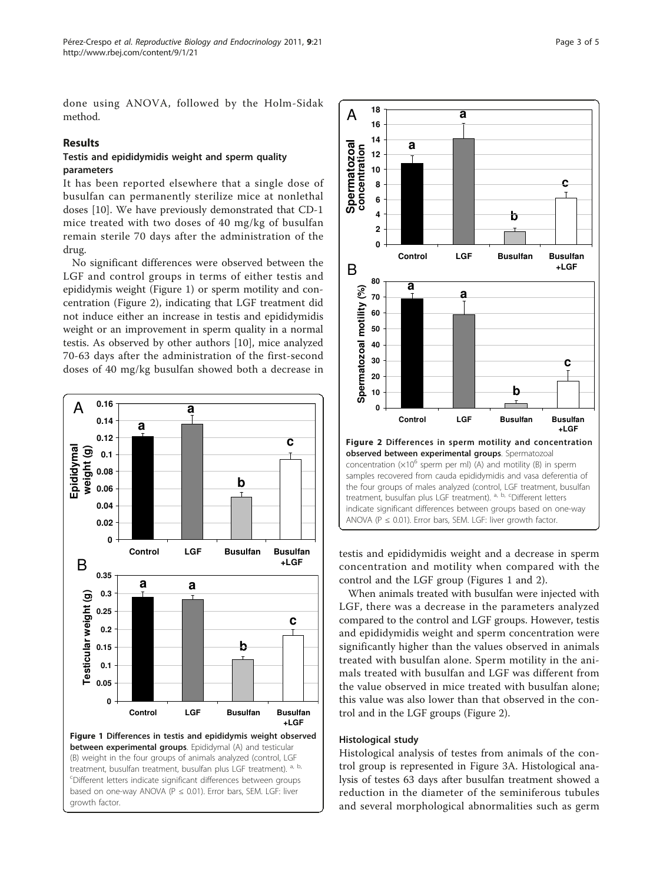done using ANOVA, followed by the Holm-Sidak method.

## Results

## Testis and epididymidis weight and sperm quality parameters

It has been reported elsewhere that a single dose of busulfan can permanently sterilize mice at nonlethal doses [[10](#page-4-0)]. We have previously demonstrated that CD-1 mice treated with two doses of 40 mg/kg of busulfan remain sterile 70 days after the administration of the drug.

No significant differences were observed between the LGF and control groups in terms of either testis and epididymis weight (Figure 1) or sperm motility and concentration (Figure 2), indicating that LGF treatment did not induce either an increase in testis and epididymidis weight or an improvement in sperm quality in a normal testis. As observed by other authors [\[10](#page-4-0)], mice analyzed 70-63 days after the administration of the first-second doses of 40 mg/kg busulfan showed both a decrease in





testis and epididymidis weight and a decrease in sperm concentration and motility when compared with the control and the LGF group (Figures 1 and 2).

When animals treated with busulfan were injected with LGF, there was a decrease in the parameters analyzed compared to the control and LGF groups. However, testis and epididymidis weight and sperm concentration were significantly higher than the values observed in animals treated with busulfan alone. Sperm motility in the animals treated with busulfan and LGF was different from the value observed in mice treated with busulfan alone; this value was also lower than that observed in the control and in the LGF groups (Figure 2).

#### Histological study

Histological analysis of testes from animals of the control group is represented in Figure [3A](#page-3-0). Histological analysis of testes 63 days after busulfan treatment showed a reduction in the diameter of the seminiferous tubules and several morphological abnormalities such as germ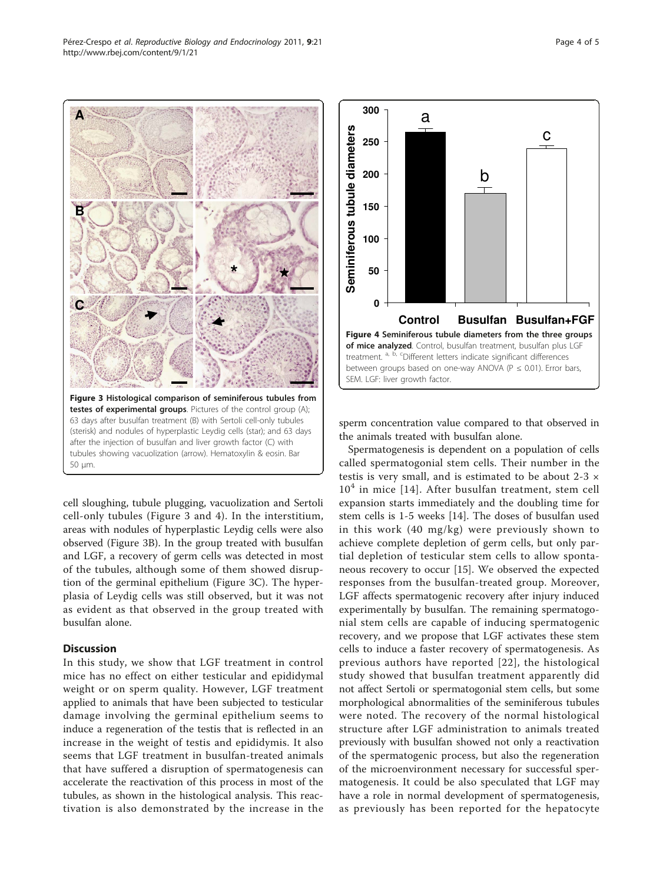cell sloughing, tubule plugging, vacuolization and Sertoli cell-only tubules (Figure 3 and 4). In the interstitium, areas with nodules of hyperplastic Leydig cells were also observed (Figure 3B). In the group treated with busulfan and LGF, a recovery of germ cells was detected in most of the tubules, although some of them showed disruption of the germinal epithelium (Figure 3C). The hyperplasia of Leydig cells was still observed, but it was not as evident as that observed in the group treated with

Figure 3 Histological comparison of seminiferous tubules from testes of experimental groups. Pictures of the control group (A); 63 days after busulfan treatment (B) with Sertoli cell-only tubules (sterisk) and nodules of hyperplastic Leydig cells (star); and 63 days after the injection of busulfan and liver growth factor (C) with tubules showing vacuolization (arrow). Hematoxylin & eosin. Bar

#### **Discussion**

<span id="page-3-0"></span>**A**

**B**

**C**

50 μm.

busulfan alone.

In this study, we show that LGF treatment in control mice has no effect on either testicular and epididymal weight or on sperm quality. However, LGF treatment applied to animals that have been subjected to testicular damage involving the germinal epithelium seems to induce a regeneration of the testis that is reflected in an increase in the weight of testis and epididymis. It also seems that LGF treatment in busulfan-treated animals that have suffered a disruption of spermatogenesis can accelerate the reactivation of this process in most of the tubules, as shown in the histological analysis. This reactivation is also demonstrated by the increase in the sperm concentration value compared to that observed in the animals treated with busulfan alone.

Spermatogenesis is dependent on a population of cells called spermatogonial stem cells. Their number in the testis is very small, and is estimated to be about 2-3 ×  $10<sup>4</sup>$  in mice [[14](#page-4-0)]. After busulfan treatment, stem cell expansion starts immediately and the doubling time for stem cells is 1-5 weeks [\[14](#page-4-0)]. The doses of busulfan used in this work (40 mg/kg) were previously shown to achieve complete depletion of germ cells, but only partial depletion of testicular stem cells to allow spontaneous recovery to occur [[15\]](#page-4-0). We observed the expected responses from the busulfan-treated group. Moreover, LGF affects spermatogenic recovery after injury induced experimentally by busulfan. The remaining spermatogonial stem cells are capable of inducing spermatogenic recovery, and we propose that LGF activates these stem cells to induce a faster recovery of spermatogenesis. As previous authors have reported [[22](#page-4-0)], the histological study showed that busulfan treatment apparently did not affect Sertoli or spermatogonial stem cells, but some morphological abnormalities of the seminiferous tubules were noted. The recovery of the normal histological structure after LGF administration to animals treated previously with busulfan showed not only a reactivation of the spermatogenic process, but also the regeneration of the microenvironment necessary for successful spermatogenesis. It could be also speculated that LGF may have a role in normal development of spermatogenesis, as previously has been reported for the hepatocyte



**250**

**300**

a

**\*** -



c